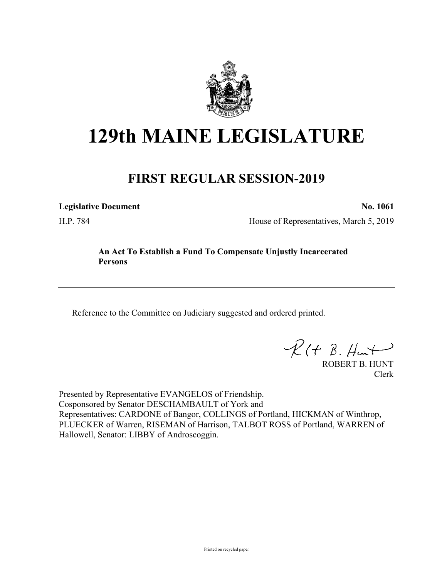

# **129th MAINE LEGISLATURE**

## **FIRST REGULAR SESSION-2019**

**Legislative Document No. 1061**

H.P. 784 House of Representatives, March 5, 2019

### **An Act To Establish a Fund To Compensate Unjustly Incarcerated Persons**

Reference to the Committee on Judiciary suggested and ordered printed.

 $R(t B. Hmt)$ 

ROBERT B. HUNT Clerk

Presented by Representative EVANGELOS of Friendship. Cosponsored by Senator DESCHAMBAULT of York and Representatives: CARDONE of Bangor, COLLINGS of Portland, HICKMAN of Winthrop, PLUECKER of Warren, RISEMAN of Harrison, TALBOT ROSS of Portland, WARREN of Hallowell, Senator: LIBBY of Androscoggin.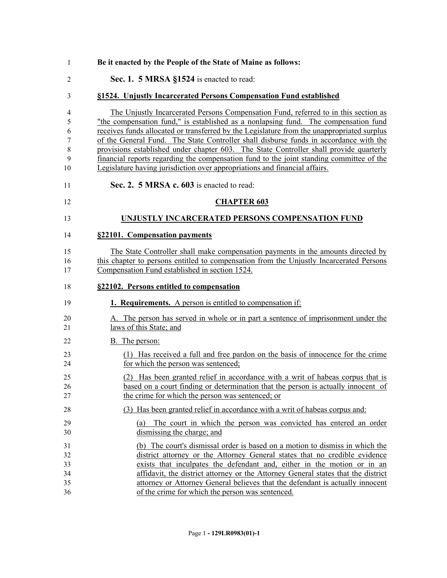| 1                                | Be it enacted by the People of the State of Maine as follows:                                                                                                                                                                                                                                                                                                                                                                                                                                                                                                                                                                         |
|----------------------------------|---------------------------------------------------------------------------------------------------------------------------------------------------------------------------------------------------------------------------------------------------------------------------------------------------------------------------------------------------------------------------------------------------------------------------------------------------------------------------------------------------------------------------------------------------------------------------------------------------------------------------------------|
| $\overline{2}$                   | Sec. 1. 5 MRSA §1524 is enacted to read:                                                                                                                                                                                                                                                                                                                                                                                                                                                                                                                                                                                              |
| 3                                | §1524. Unjustly Incarcerated Persons Compensation Fund established                                                                                                                                                                                                                                                                                                                                                                                                                                                                                                                                                                    |
| 4<br>5<br>6<br>7<br>8<br>9<br>10 | The Unjustly Incarcerated Persons Compensation Fund, referred to in this section as<br>"the compensation fund," is established as a nonlapsing fund. The compensation fund<br>receives funds allocated or transferred by the Legislature from the unappropriated surplus<br>of the General Fund. The State Controller shall disburse funds in accordance with the<br>provisions established under chapter 603. The State Controller shall provide quarterly<br>financial reports regarding the compensation fund to the joint standing committee of the<br>Legislature having jurisdiction over appropriations and financial affairs. |
| 11                               | Sec. 2. 5 MRSA c. 603 is enacted to read:                                                                                                                                                                                                                                                                                                                                                                                                                                                                                                                                                                                             |
| 12                               | <b>CHAPTER 603</b>                                                                                                                                                                                                                                                                                                                                                                                                                                                                                                                                                                                                                    |
| 13                               | UNJUSTLY INCARCERATED PERSONS COMPENSATION FUND                                                                                                                                                                                                                                                                                                                                                                                                                                                                                                                                                                                       |
| 14                               | §22101. Compensation payments                                                                                                                                                                                                                                                                                                                                                                                                                                                                                                                                                                                                         |
| 15<br>16<br>17                   | The State Controller shall make compensation payments in the amounts directed by<br>this chapter to persons entitled to compensation from the Unjustly Incarcerated Persons<br>Compensation Fund established in section 1524.                                                                                                                                                                                                                                                                                                                                                                                                         |
| 18                               | §22102. Persons entitled to compensation                                                                                                                                                                                                                                                                                                                                                                                                                                                                                                                                                                                              |
| 19                               | <b>1. Requirements.</b> A person is entitled to compensation if:                                                                                                                                                                                                                                                                                                                                                                                                                                                                                                                                                                      |
| 20<br>21                         | A. The person has served in whole or in part a sentence of imprisonment under the<br>laws of this State; and                                                                                                                                                                                                                                                                                                                                                                                                                                                                                                                          |
| 22                               | B. The person:                                                                                                                                                                                                                                                                                                                                                                                                                                                                                                                                                                                                                        |
| 23<br>24                         | (1) Has received a full and free pardon on the basis of innocence for the crime<br>for which the person was sentenced;                                                                                                                                                                                                                                                                                                                                                                                                                                                                                                                |
| 25<br>26<br>27                   | (2) Has been granted relief in accordance with a writ of habeas corpus that is<br>based on a court finding or determination that the person is actually innocent of<br>the crime for which the person was sentenced; or                                                                                                                                                                                                                                                                                                                                                                                                               |
| 28                               | (3) Has been granted relief in accordance with a writ of habeas corpus and:                                                                                                                                                                                                                                                                                                                                                                                                                                                                                                                                                           |
| 29<br>30                         | (a) The court in which the person was convicted has entered an order<br>dismissing the charge; and                                                                                                                                                                                                                                                                                                                                                                                                                                                                                                                                    |
| 31<br>32<br>33<br>34<br>35<br>36 | (b) The court's dismissal order is based on a motion to dismiss in which the<br>district attorney or the Attorney General states that no credible evidence<br>exists that inculpates the defendant and, either in the motion or in an<br>affidavit, the district attorney or the Attorney General states that the district<br>attorney or Attorney General believes that the defendant is actually innocent<br>of the crime for which the person was sentenced.                                                                                                                                                                       |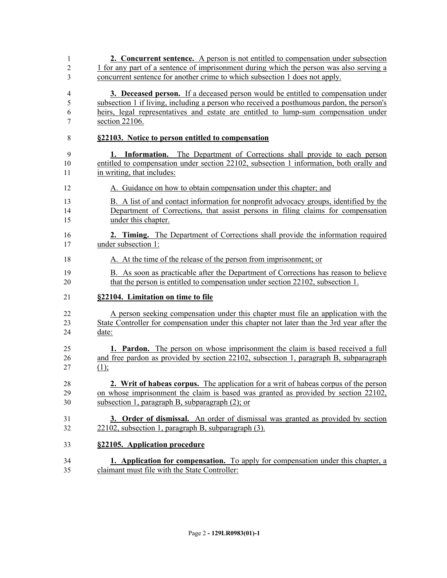| 1              | 2. Concurrent sentence. A person is not entitled to compensation under subsection          |
|----------------|--------------------------------------------------------------------------------------------|
| $\overline{c}$ | 1 for any part of a sentence of imprisonment during which the person was also serving a    |
| 3              | concurrent sentence for another crime to which subsection 1 does not apply.                |
| $\overline{4}$ | 3. Deceased person. If a deceased person would be entitled to compensation under           |
| 5              | subsection 1 if living, including a person who received a posthumous pardon, the person's  |
| 6              | heirs, legal representatives and estate are entitled to lump-sum compensation under        |
| 7              | section 22106.                                                                             |
| 8              | §22103. Notice to person entitled to compensation                                          |
| 9              | <b>1. Information.</b> The Department of Corrections shall provide to each person          |
| 10             | entitled to compensation under section 22102, subsection 1 information, both orally and    |
| 11             | in writing, that includes:                                                                 |
| 12             | A. Guidance on how to obtain compensation under this chapter; and                          |
| 13             | B. A list of and contact information for nonprofit advocacy groups, identified by the      |
| 14             | Department of Corrections, that assist persons in filing claims for compensation           |
| 15             | under this chapter.                                                                        |
| 16             | 2. Timing. The Department of Corrections shall provide the information required            |
| 17             | under subsection 1:                                                                        |
| 18             | A. At the time of the release of the person from imprisonment; or                          |
| 19             | B. As soon as practicable after the Department of Corrections has reason to believe        |
| 20             | that the person is entitled to compensation under section 22102, subsection 1.             |
| 21             | §22104. Limitation on time to file                                                         |
| 22             | A person seeking compensation under this chapter must file an application with the         |
| 23             | State Controller for compensation under this chapter not later than the 3rd year after the |
| 24             | date:                                                                                      |
| 25             | 1. Pardon. The person on whose imprisonment the claim is based received a full             |
| 26             | and free pardon as provided by section 22102, subsection 1, paragraph B, subparagraph      |
| 27             | (1);                                                                                       |
| 28             | 2. Writ of habeas corpus. The application for a writ of habeas corpus of the person        |
| 29             | on whose imprisonment the claim is based was granted as provided by section 22102,         |
| 30             | subsection 1, paragraph B, subparagraph $(2)$ ; or                                         |
| 31             | 3. Order of dismissal. An order of dismissal was granted as provided by section            |
| 32             | 22102, subsection 1, paragraph B, subparagraph (3).                                        |
| 33             | §22105. Application procedure                                                              |
| 34             | <b>1. Application for compensation.</b> To apply for compensation under this chapter, a    |
| 35             | claimant must file with the State Controller:                                              |
|                |                                                                                            |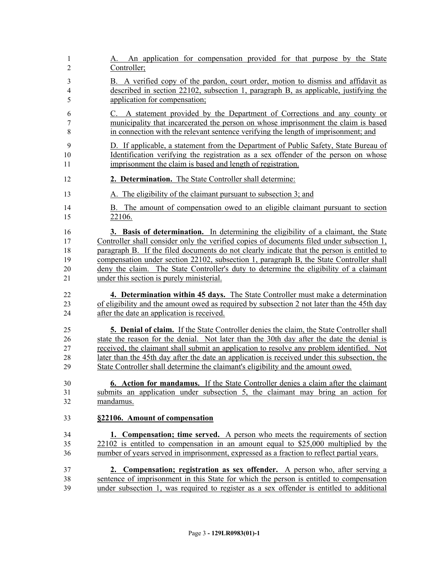| 1<br>2                   | An application for compensation provided for that purpose by the State<br>А.<br>Controller;     |
|--------------------------|-------------------------------------------------------------------------------------------------|
| 3                        | B. A verified copy of the pardon, court order, motion to dismiss and affidavit as               |
| $\overline{\mathcal{A}}$ | described in section 22102, subsection 1, paragraph B, as applicable, justifying the            |
| 5                        | application for compensation;                                                                   |
| 6                        | C. A statement provided by the Department of Corrections and any county or                      |
| 7                        | municipality that incarcerated the person on whose imprisonment the claim is based              |
| $\,$ $\,$                | in connection with the relevant sentence verifying the length of imprisonment; and              |
| 9                        | D. If applicable, a statement from the Department of Public Safety, State Bureau of             |
| 10                       | Identification verifying the registration as a sex offender of the person on whose              |
| 11                       | imprisonment the claim is based and length of registration.                                     |
| 12                       | 2. Determination. The State Controller shall determine:                                         |
| 13                       | A. The eligibility of the claimant pursuant to subsection 3; and                                |
| 14                       | B. The amount of compensation owed to an eligible claimant pursuant to section                  |
| 15                       | 22106.                                                                                          |
| 16                       | 3. Basis of determination. In determining the eligibility of a claimant, the State              |
| 17                       | Controller shall consider only the verified copies of documents filed under subsection 1,       |
| 18                       | paragraph B. If the filed documents do not clearly indicate that the person is entitled to      |
| 19                       | compensation under section 22102, subsection 1, paragraph B, the State Controller shall         |
| 20                       | deny the claim. The State Controller's duty to determine the eligibility of a claimant          |
| 21                       | under this section is purely ministerial.                                                       |
| 22                       | 4. Determination within 45 days. The State Controller must make a determination                 |
| 23                       | of eligibility and the amount owed as required by subsection 2 not later than the 45th day      |
| 24                       | after the date an application is received.                                                      |
| 25                       | <b>5. Denial of claim.</b> If the State Controller denies the claim, the State Controller shall |
| 26                       | state the reason for the denial. Not later than the 30th day after the date the denial is       |
| 27                       | received, the claimant shall submit an application to resolve any problem identified. Not       |
| 28                       | later than the 45th day after the date an application is received under this subsection, the    |
| 29                       | State Controller shall determine the claimant's eligibility and the amount owed.                |
| 30                       | 6. Action for mandamus. If the State Controller denies a claim after the claimant               |
| 31                       | submits an application under subsection 5, the claimant may bring an action for                 |
| 32                       | mandamus.                                                                                       |
| 33                       | §22106. Amount of compensation                                                                  |
| 34                       | 1. Compensation; time served. A person who meets the requirements of section                    |
| 35                       | $22102$ is entitled to compensation in an amount equal to \$25,000 multiplied by the            |
| 36                       | number of years served in imprisonment, expressed as a fraction to reflect partial years.       |
| 37                       | 2. Compensation; registration as sex offender. A person who, after serving a                    |
| 38                       | sentence of imprisonment in this State for which the person is entitled to compensation         |
| 39                       | under subsection 1, was required to register as a sex offender is entitled to additional        |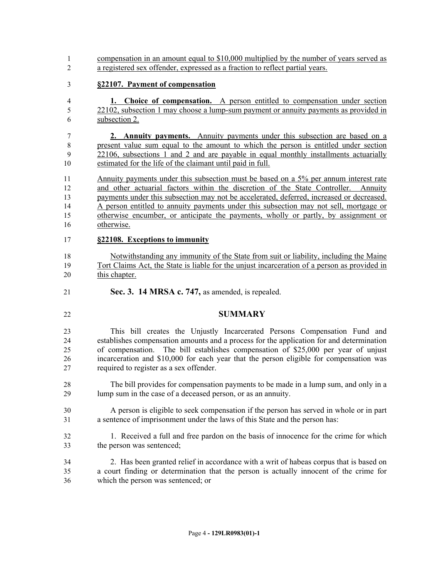compensation in an amount equal to \$10,000 multiplied by the number of years served as a registered sex offender, expressed as a fraction to reflect partial years.

#### **§22107. Payment of compensation**

 **1. Choice of compensation.** A person entitled to compensation under section 22102, subsection 1 may choose a lump-sum payment or annuity payments as provided in subsection 2.

 **2. Annuity payments.** Annuity payments under this subsection are based on a present value sum equal to the amount to which the person is entitled under section 22106, subsections 1 and 2 and are payable in equal monthly installments actuarially estimated for the life of the claimant until paid in full.

 Annuity payments under this subsection must be based on a 5% per annum interest rate and other actuarial factors within the discretion of the State Controller. Annuity payments under this subsection may not be accelerated, deferred, increased or decreased. A person entitled to annuity payments under this subsection may not sell, mortgage or otherwise encumber, or anticipate the payments, wholly or partly, by assignment or otherwise.

#### **§22108. Exceptions to immunity**

 Notwithstanding any immunity of the State from suit or liability, including the Maine Tort Claims Act, the State is liable for the unjust incarceration of a person as provided in this chapter.

- **Sec. 3. 14 MRSA c. 747,** as amended, is repealed.
- 

#### **SUMMARY**

 This bill creates the Unjustly Incarcerated Persons Compensation Fund and establishes compensation amounts and a process for the application for and determination of compensation. The bill establishes compensation of \$25,000 per year of unjust incarceration and \$10,000 for each year that the person eligible for compensation was required to register as a sex offender.

- The bill provides for compensation payments to be made in a lump sum, and only in a lump sum in the case of a deceased person, or as an annuity.
- A person is eligible to seek compensation if the person has served in whole or in part a sentence of imprisonment under the laws of this State and the person has:
- 1. Received a full and free pardon on the basis of innocence for the crime for which the person was sentenced;
- 2. Has been granted relief in accordance with a writ of habeas corpus that is based on a court finding or determination that the person is actually innocent of the crime for which the person was sentenced; or